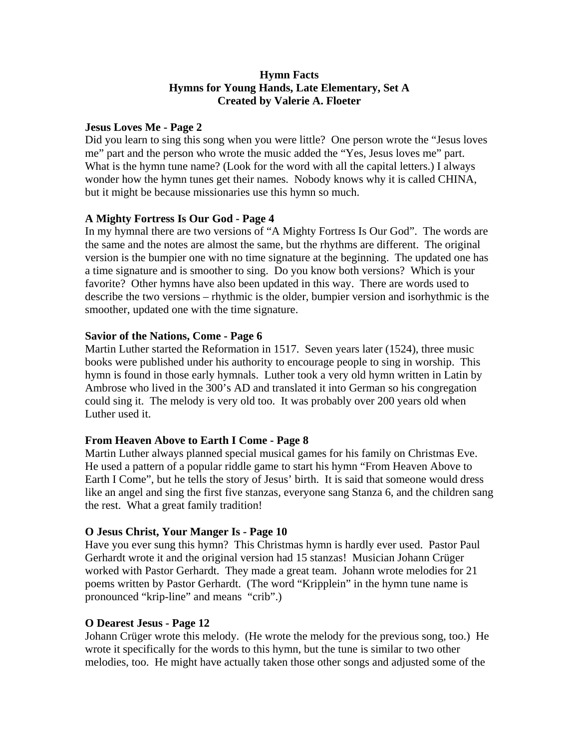## **Hymn Facts Hymns for Young Hands, Late Elementary, Set A Created by Valerie A. Floeter**

### **Jesus Loves Me - Page 2**

Did you learn to sing this song when you were little? One person wrote the "Jesus loves me" part and the person who wrote the music added the "Yes, Jesus loves me" part. What is the hymn tune name? (Look for the word with all the capital letters.) I always wonder how the hymn tunes get their names. Nobody knows why it is called CHINA, but it might be because missionaries use this hymn so much.

# **A Mighty Fortress Is Our God - Page 4**

In my hymnal there are two versions of "A Mighty Fortress Is Our God". The words are the same and the notes are almost the same, but the rhythms are different. The original version is the bumpier one with no time signature at the beginning. The updated one has a time signature and is smoother to sing. Do you know both versions? Which is your favorite? Other hymns have also been updated in this way. There are words used to describe the two versions – rhythmic is the older, bumpier version and isorhythmic is the smoother, updated one with the time signature.

# **Savior of the Nations, Come - Page 6**

Martin Luther started the Reformation in 1517. Seven years later (1524), three music books were published under his authority to encourage people to sing in worship. This hymn is found in those early hymnals. Luther took a very old hymn written in Latin by Ambrose who lived in the 300's AD and translated it into German so his congregation could sing it. The melody is very old too. It was probably over 200 years old when Luther used it.

# **From Heaven Above to Earth I Come - Page 8**

Martin Luther always planned special musical games for his family on Christmas Eve. He used a pattern of a popular riddle game to start his hymn "From Heaven Above to Earth I Come", but he tells the story of Jesus' birth. It is said that someone would dress like an angel and sing the first five stanzas, everyone sang Stanza 6, and the children sang the rest. What a great family tradition!

### **O Jesus Christ, Your Manger Is - Page 10**

Have you ever sung this hymn? This Christmas hymn is hardly ever used. Pastor Paul Gerhardt wrote it and the original version had 15 stanzas! Musician Johann Crüger worked with Pastor Gerhardt. They made a great team. Johann wrote melodies for 21 poems written by Pastor Gerhardt. (The word "Kripplein" in the hymn tune name is pronounced "krip-line" and means "crib".)

# **O Dearest Jesus - Page 12**

Johann Crüger wrote this melody. (He wrote the melody for the previous song, too.) He wrote it specifically for the words to this hymn, but the tune is similar to two other melodies, too. He might have actually taken those other songs and adjusted some of the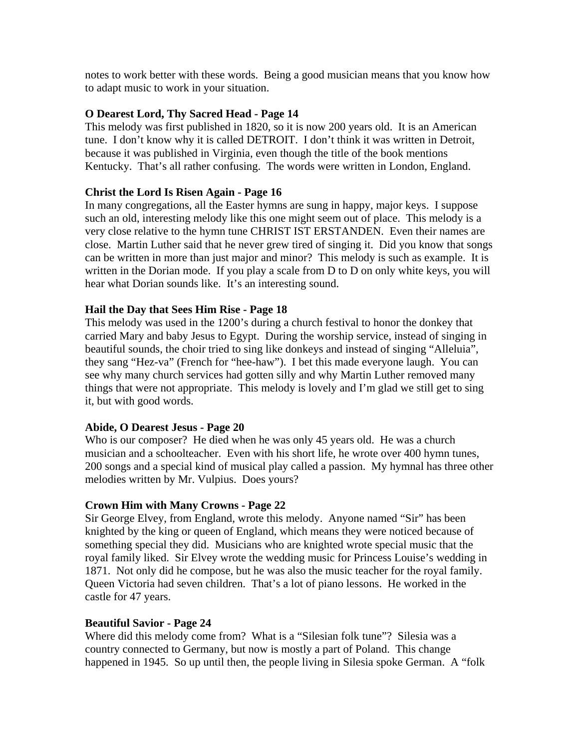notes to work better with these words. Being a good musician means that you know how to adapt music to work in your situation.

## **O Dearest Lord, Thy Sacred Head - Page 14**

This melody was first published in 1820, so it is now 200 years old. It is an American tune. I don't know why it is called DETROIT. I don't think it was written in Detroit, because it was published in Virginia, even though the title of the book mentions Kentucky. That's all rather confusing. The words were written in London, England.

## **Christ the Lord Is Risen Again - Page 16**

In many congregations, all the Easter hymns are sung in happy, major keys. I suppose such an old, interesting melody like this one might seem out of place. This melody is a very close relative to the hymn tune CHRIST IST ERSTANDEN. Even their names are close. Martin Luther said that he never grew tired of singing it. Did you know that songs can be written in more than just major and minor? This melody is such as example. It is written in the Dorian mode. If you play a scale from D to D on only white keys, you will hear what Dorian sounds like. It's an interesting sound.

### **Hail the Day that Sees Him Rise - Page 18**

This melody was used in the 1200's during a church festival to honor the donkey that carried Mary and baby Jesus to Egypt. During the worship service, instead of singing in beautiful sounds, the choir tried to sing like donkeys and instead of singing "Alleluia", they sang "Hez-va" (French for "hee-haw"). I bet this made everyone laugh. You can see why many church services had gotten silly and why Martin Luther removed many things that were not appropriate. This melody is lovely and I'm glad we still get to sing it, but with good words.

### **Abide, O Dearest Jesus - Page 20**

Who is our composer? He died when he was only 45 years old. He was a church musician and a schoolteacher. Even with his short life, he wrote over 400 hymn tunes, 200 songs and a special kind of musical play called a passion. My hymnal has three other melodies written by Mr. Vulpius. Does yours?

### **Crown Him with Many Crowns - Page 22**

Sir George Elvey, from England, wrote this melody. Anyone named "Sir" has been knighted by the king or queen of England, which means they were noticed because of something special they did. Musicians who are knighted wrote special music that the royal family liked. Sir Elvey wrote the wedding music for Princess Louise's wedding in 1871. Not only did he compose, but he was also the music teacher for the royal family. Queen Victoria had seven children. That's a lot of piano lessons. He worked in the castle for 47 years.

### **Beautiful Savior - Page 24**

Where did this melody come from? What is a "Silesian folk tune"? Silesia was a country connected to Germany, but now is mostly a part of Poland. This change happened in 1945. So up until then, the people living in Silesia spoke German. A "folk